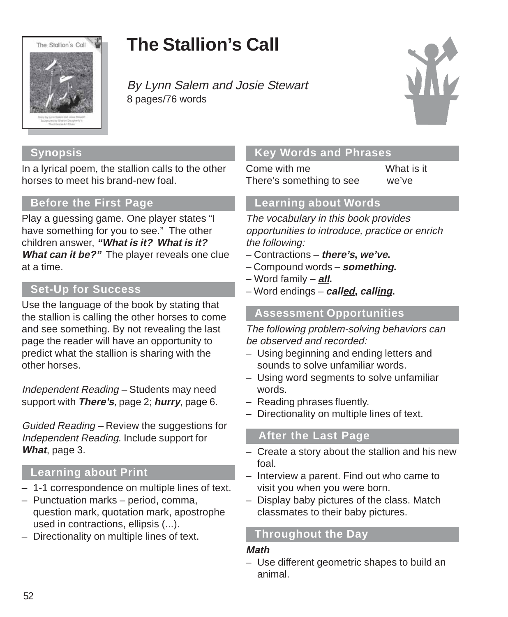

# **The Stallion's Call**

By Lynn Salem and Josie Stewart 8 pages/76 words



## **Synopsis**

In a lyrical poem, the stallion calls to the other horses to meet his brand-new foal.

### **Before the First Page**

Play a guessing game. One player states "I have something for you to see." The other children answer, **"What is it? What is it? What can it be?"** The player reveals one clue at a time.

## **Set-Up for Success**

Use the language of the book by stating that the stallion is calling the other horses to come and see something. By not revealing the last page the reader will have an opportunity to predict what the stallion is sharing with the other horses.

Independent Reading – Students may need support with **There's**, page 2; **hurry**, page 6.

Guided Reading – Review the suggestions for Independent Reading. Include support for **What**, page 3.

### **Learning about Print**

- 1-1 correspondence on multiple lines of text.
- Punctuation marks period, comma, question mark, quotation mark, apostrophe used in contractions, ellipsis (...).
- Directionality on multiple lines of text.

### **Key Words and Phrases**

Come with me What is it There's something to see we've

#### **Learning about Words**

The vocabulary in this book provides opportunities to introduce, practice or enrich the following:

- Contractions **there's, we've.**
- Compound words **something.**
- Word family **all.**
- Word endings **called, calling.**

#### **Assessment Opportunities**

The following problem-solving behaviors can be observed and recorded:

- Using beginning and ending letters and sounds to solve unfamiliar words.
- Using word segments to solve unfamiliar words.
- Reading phrases fluently.
- Directionality on multiple lines of text.

### **After the Last Page**

- Create a story about the stallion and his new foal.
- Interview a parent. Find out who came to visit you when you were born.
- Display baby pictures of the class. Match classmates to their baby pictures.

### **Throughout the Day**

#### **Math**

– Use different geometric shapes to build an animal.